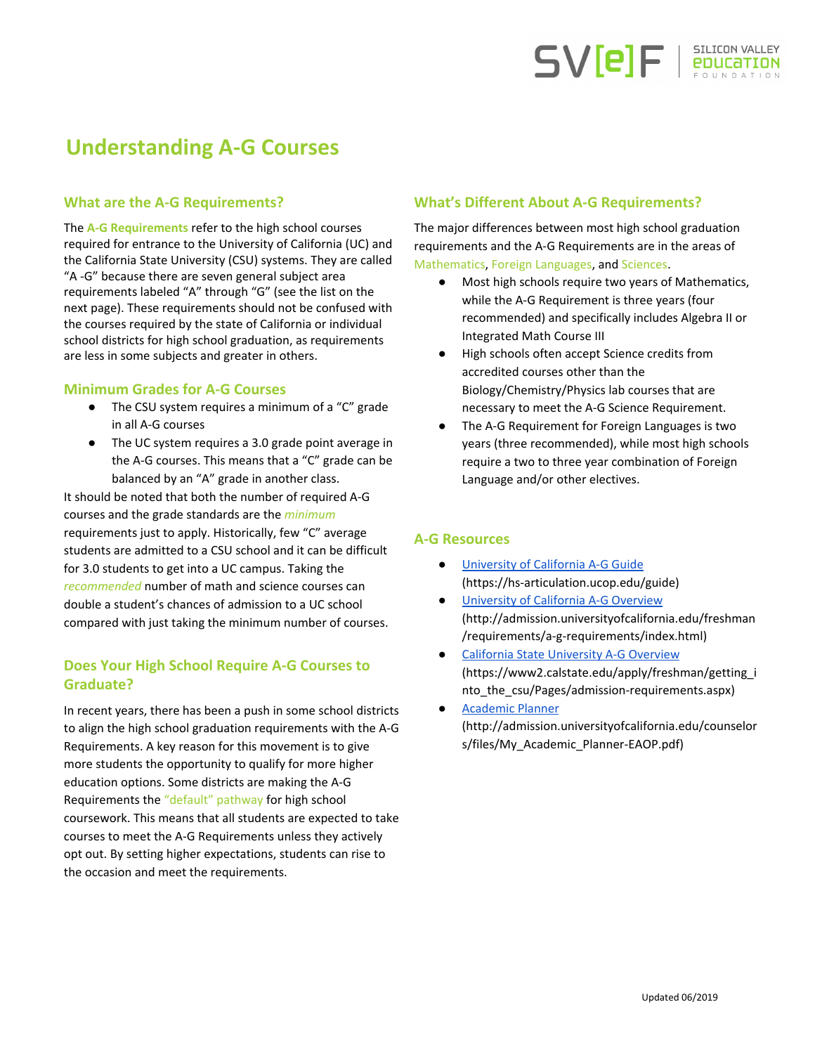

# **Understanding A-G Courses**

### **What are the A-G Requirements?**

The **A-G Requirements** refer to the high school courses required for entrance to the University of California (UC) and the California State University (CSU) systems. They are called "A -G" because there are seven general subject area requirements labeled "A" through "G" (see the list on the next page). These requirements should not be confused with the courses required by the state of California or individual school districts for high school graduation, as requirements are less in some subjects and greater in others.

#### **Minimum Grades for A-G Courses**

- The CSU system requires a minimum of a "C" grade in all A-G courses
- The UC system requires a 3.0 grade point average in the A-G courses. This means that a "C" grade can be balanced by an "A" grade in another class.

It should be noted that both the number of required A-G courses and the grade standards are the *minimum* requirements just to apply. Historically, few "C" average students are admitted to a CSU school and it can be difficult for 3.0 students to get into a UC campus. Taking the *recommended* number of math and science courses can double a student's chances of admission to a UC school compared with just taking the minimum number of courses.

## **Does Your High School Require A-G Courses to Graduate?**

In recent years, there has been a push in some school districts to align the high school graduation requirements with the A-G Requirements. A key reason for this movement is to give more students the opportunity to qualify for more higher education options. Some districts are making the A-G Requirements the "default" pathway for high school coursework. This means that all students are expected to take courses to meet the A-G Requirements unless they actively opt out. By setting higher expectations, students can rise to the occasion and meet the requirements.

### **What's Different About A-G Requirements?**

The major differences between most high school graduation requirements and the A-G Requirements are in the areas of Mathematics, Foreign Languages, and Sciences.

- Most high schools require two years of Mathematics, while the A-G Requirement is three years (four recommended) and specifically includes Algebra II or Integrated Math Course III
- High schools often accept Science credits from accredited courses other than the Biology/Chemistry/Physics lab courses that are necessary to meet the A-G Science Requirement.
- The A-G Requirement for Foreign Languages is two years (three recommended), while most high schools require a two to three year combination of Foreign Language and/or other electives.

### **A-G Resources**

- [University](https://hs-articulation.ucop.edu/guide) of California A-G Guide (https://hs-articulation.ucop.edu/guide)
- **[University](http://admission.universityofcalifornia.edu/freshman/requirements/a-g-requirements/index.html) of California A-G Overview** (http://admission.universityofcalifornia.edu/freshman /requirements/a-g-requirements/index.html)
- California State [University](https://www2.calstate.edu/apply/freshman/getting_into_the_csu/Pages/admission-requirements.aspx) A-G Overview (https://www2.calstate.edu/apply/freshman/getting\_i nto\_the\_csu/Pages/admission-requirements.aspx)
- [Academic](http://admission.universityofcalifornia.edu/counselors/files/My_Academic_Planner-EAOP.pdf) Planner (http://admission.universityofcalifornia.edu/counselor s/files/My\_Academic\_Planner-EAOP.pdf)